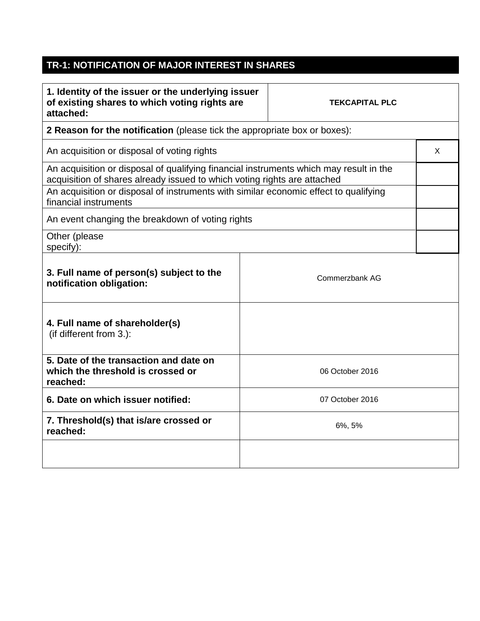## **TR-1: NOTIFICATION OF MAJOR INTEREST IN SHARES**

| 1. Identity of the issuer or the underlying issuer<br>of existing shares to which voting rights are<br>attached:                                                   | <b>TEKCAPITAL PLC</b> |                 |  |  |
|--------------------------------------------------------------------------------------------------------------------------------------------------------------------|-----------------------|-----------------|--|--|
| 2 Reason for the notification (please tick the appropriate box or boxes):                                                                                          |                       |                 |  |  |
| An acquisition or disposal of voting rights                                                                                                                        |                       |                 |  |  |
| An acquisition or disposal of qualifying financial instruments which may result in the<br>acquisition of shares already issued to which voting rights are attached |                       |                 |  |  |
| An acquisition or disposal of instruments with similar economic effect to qualifying<br>financial instruments                                                      |                       |                 |  |  |
| An event changing the breakdown of voting rights                                                                                                                   |                       |                 |  |  |
| Other (please<br>specify):                                                                                                                                         |                       |                 |  |  |
| 3. Full name of person(s) subject to the<br>notification obligation:                                                                                               |                       | Commerzbank AG  |  |  |
| 4. Full name of shareholder(s)<br>(if different from 3.):                                                                                                          |                       |                 |  |  |
| 5. Date of the transaction and date on<br>which the threshold is crossed or<br>reached:                                                                            |                       | 06 October 2016 |  |  |
| 6. Date on which issuer notified:                                                                                                                                  |                       | 07 October 2016 |  |  |
| 7. Threshold(s) that is/are crossed or<br>reached:                                                                                                                 |                       | 6%, 5%          |  |  |
|                                                                                                                                                                    |                       |                 |  |  |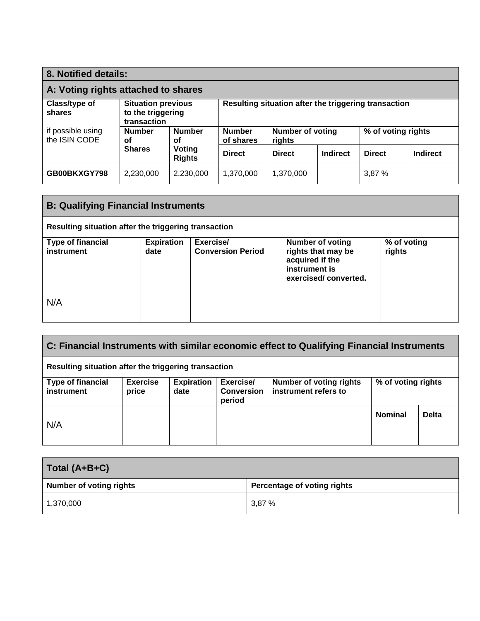| 8. Notified details:                |                                                               |                         |                                                      |                                   |                 |                    |                 |
|-------------------------------------|---------------------------------------------------------------|-------------------------|------------------------------------------------------|-----------------------------------|-----------------|--------------------|-----------------|
| A: Voting rights attached to shares |                                                               |                         |                                                      |                                   |                 |                    |                 |
| Class/type of<br>shares             | <b>Situation previous</b><br>to the triggering<br>transaction |                         | Resulting situation after the triggering transaction |                                   |                 |                    |                 |
| if possible using<br>the ISIN CODE  | <b>Number</b><br>οf                                           | <b>Number</b><br>οf     | <b>Number</b><br>of shares                           | <b>Number of voting</b><br>rights |                 | % of voting rights |                 |
|                                     | <b>Shares</b>                                                 | Voting<br><b>Rights</b> | <b>Direct</b>                                        | <b>Direct</b>                     | <b>Indirect</b> | <b>Direct</b>      | <b>Indirect</b> |
| GB00BKXGY798                        | 2,230,000                                                     | 2,230,000               | 1,370,000                                            | 1,370,000                         |                 | 3,87%              |                 |

| <b>B: Qualifying Financial Instruments</b>           |                           |                                       |                                                                                                           |                       |  |
|------------------------------------------------------|---------------------------|---------------------------------------|-----------------------------------------------------------------------------------------------------------|-----------------------|--|
| Resulting situation after the triggering transaction |                           |                                       |                                                                                                           |                       |  |
| <b>Type of financial</b><br>instrument               | <b>Expiration</b><br>date | Exercise/<br><b>Conversion Period</b> | <b>Number of voting</b><br>rights that may be<br>acquired if the<br>instrument is<br>exercised/converted. | % of voting<br>rights |  |
| N/A                                                  |                           |                                       |                                                                                                           |                       |  |

| $\mid$ C: Financial Instruments with similar economic effect to Qualifying Financial Instruments |                          |                           |                                          |                                                        |                    |              |
|--------------------------------------------------------------------------------------------------|--------------------------|---------------------------|------------------------------------------|--------------------------------------------------------|--------------------|--------------|
| Resulting situation after the triggering transaction                                             |                          |                           |                                          |                                                        |                    |              |
| <b>Type of financial</b><br>instrument                                                           | <b>Exercise</b><br>price | <b>Expiration</b><br>date | Exercise/<br><b>Conversion</b><br>period | <b>Number of voting rights</b><br>instrument refers to | % of voting rights |              |
| N/A                                                                                              |                          |                           |                                          |                                                        | <b>Nominal</b>     | <b>Delta</b> |
|                                                                                                  |                          |                           |                                          |                                                        |                    |              |

| Total (A+B+C)           |                             |
|-------------------------|-----------------------------|
| Number of voting rights | Percentage of voting rights |
| 1,370,000               | 3,87%                       |